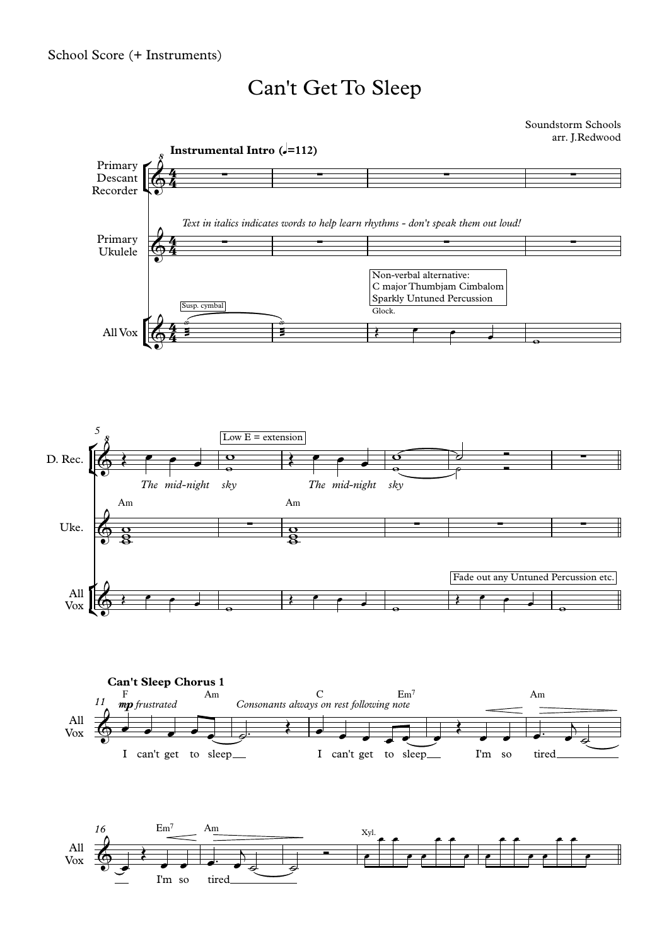## Can't Get To Sleep

Soundstorm Schools arr. J.Redwood

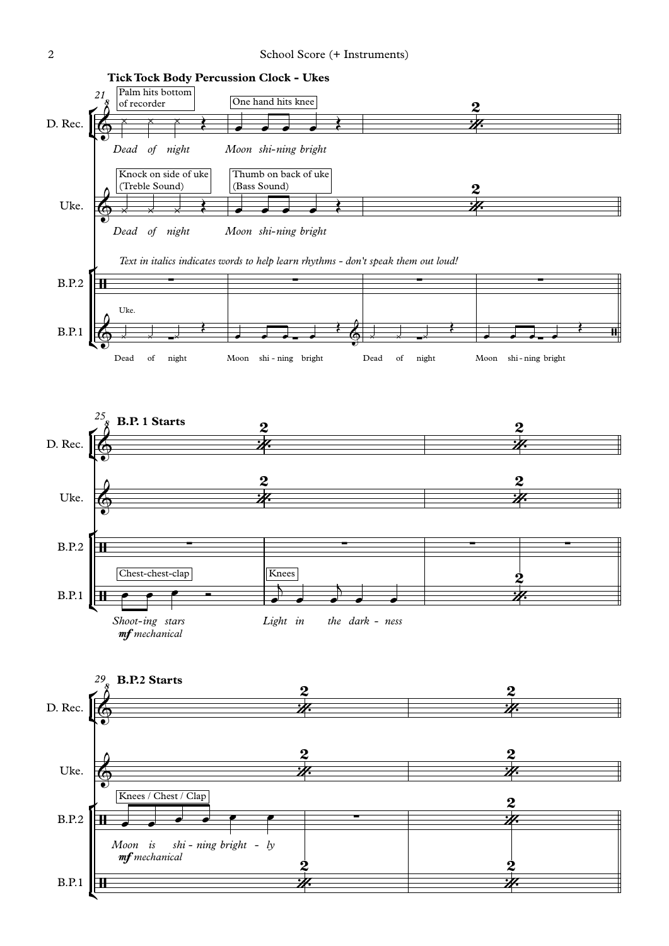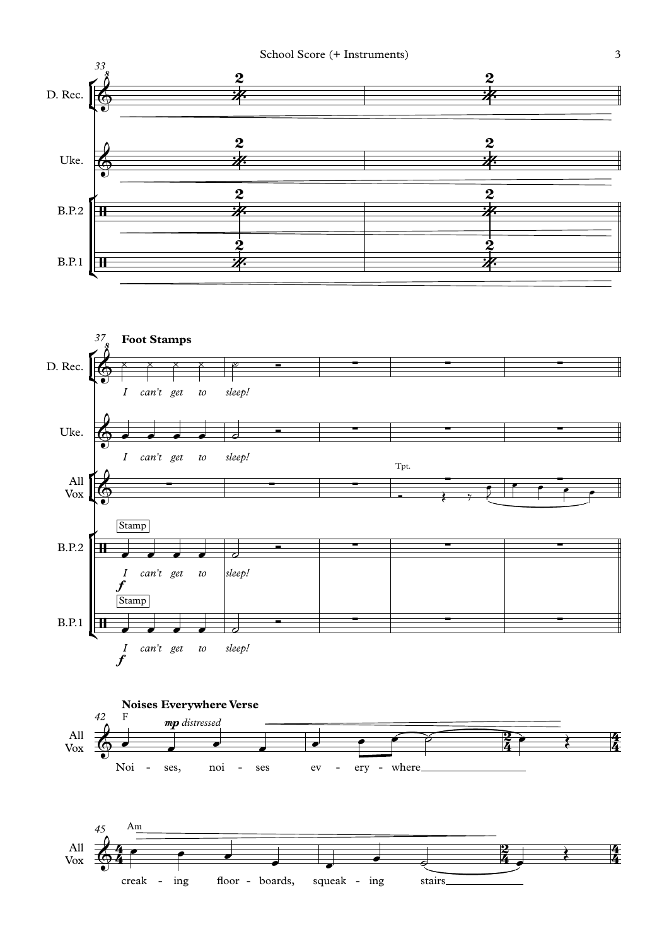## School Score (+ Instruments) 3







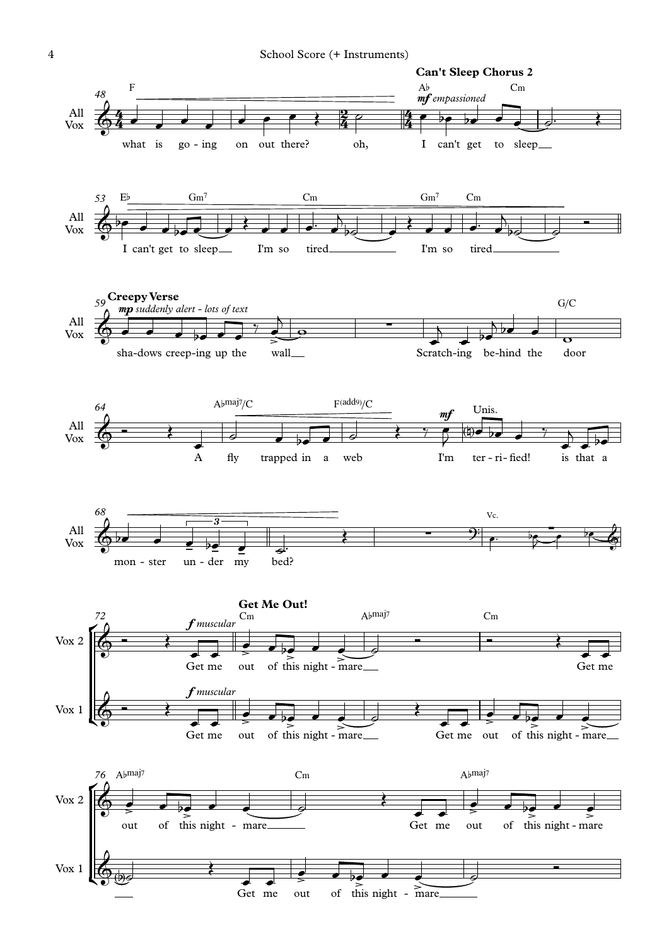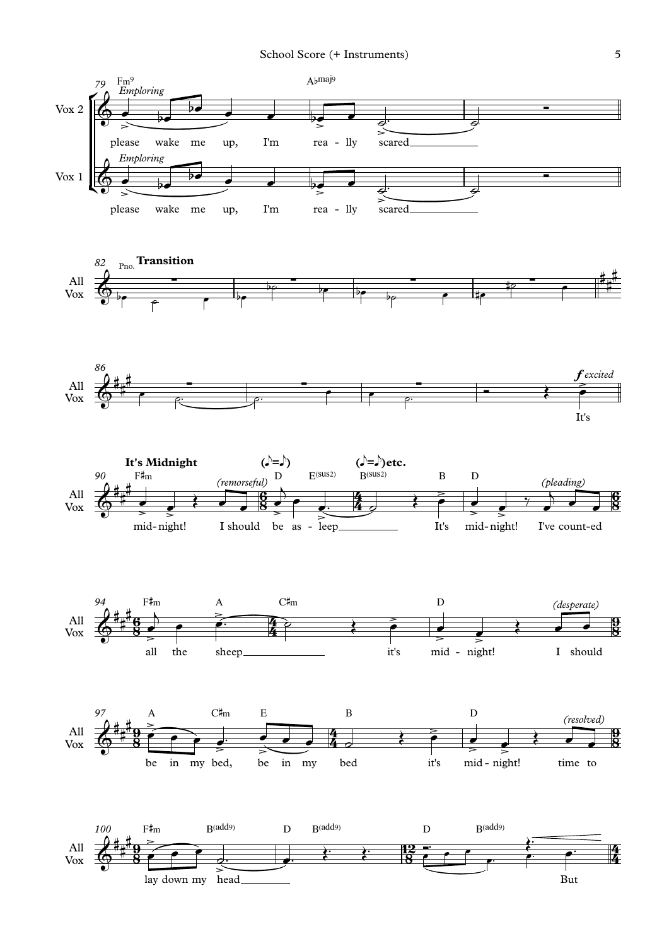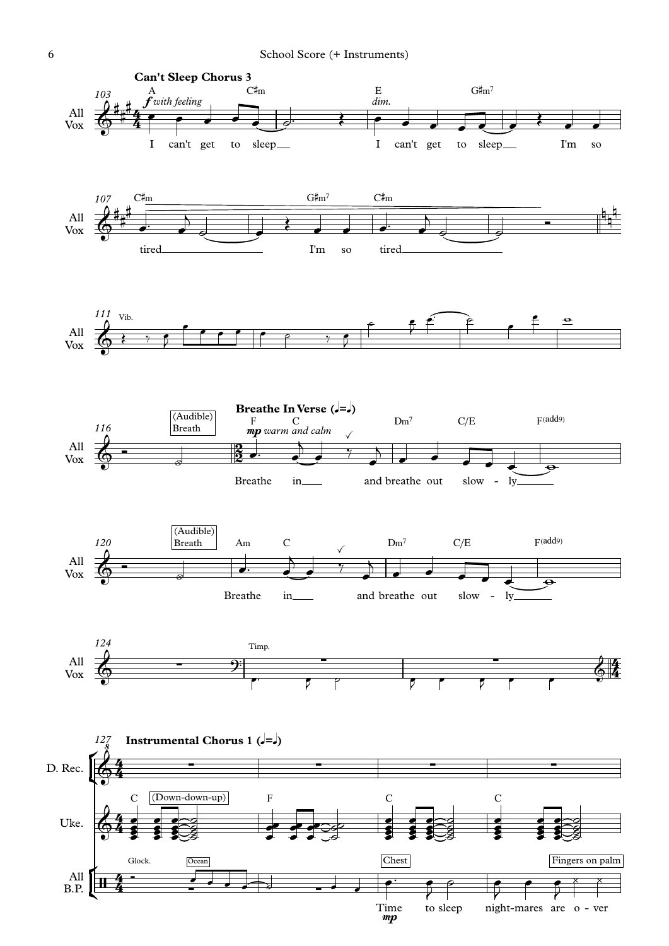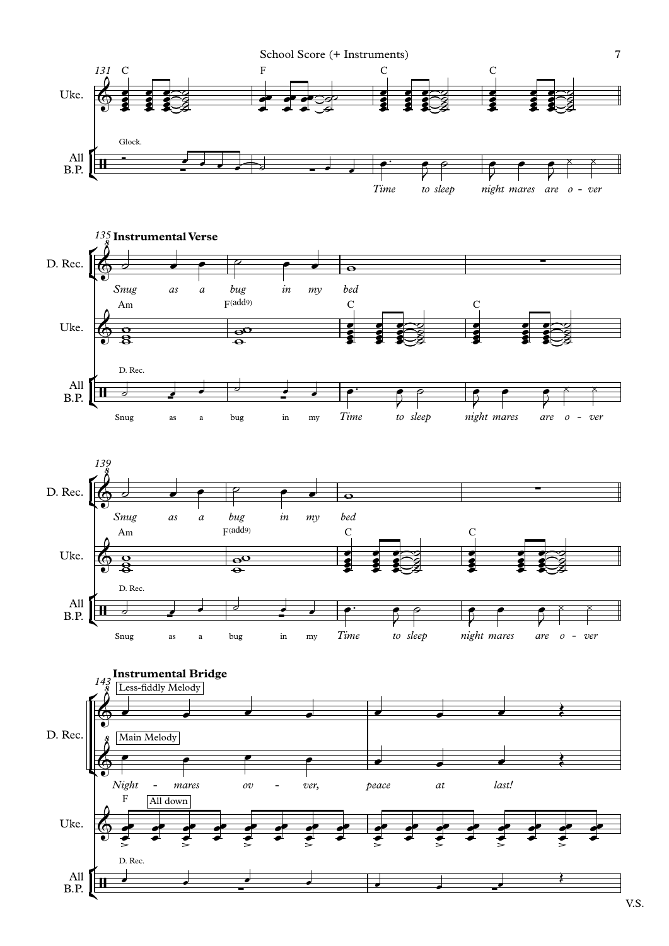





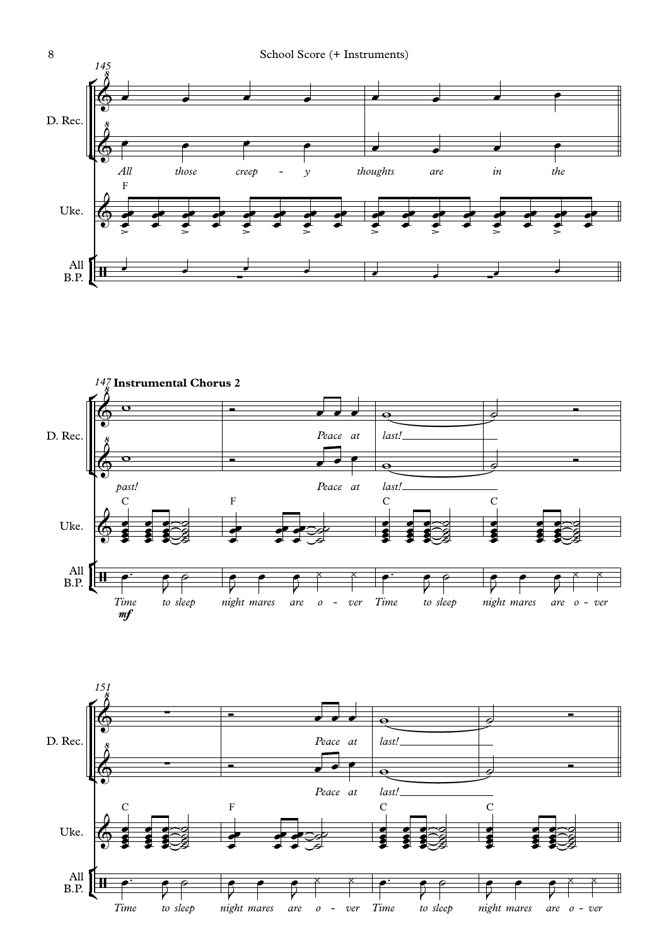



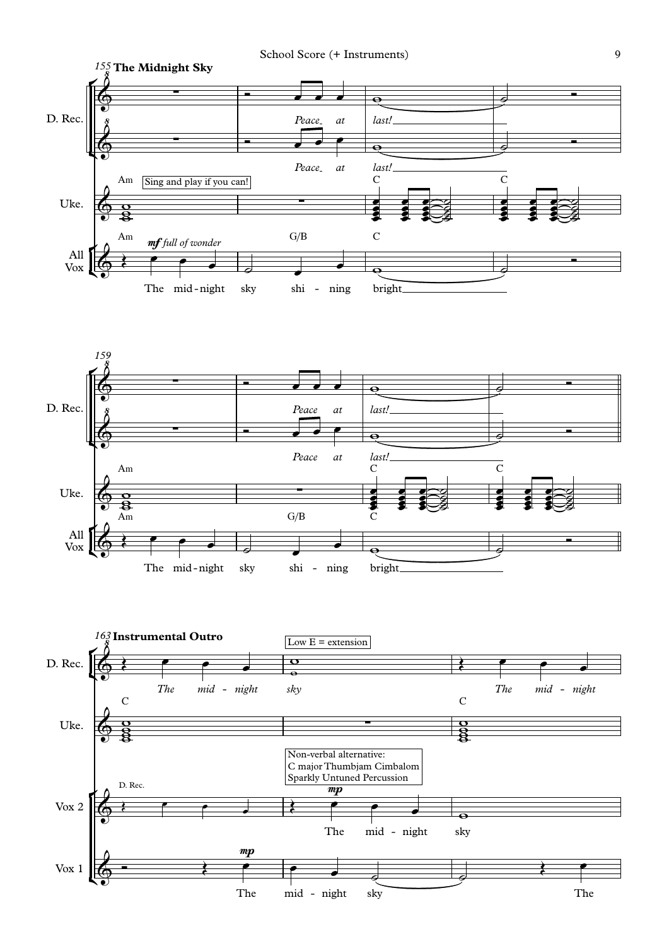